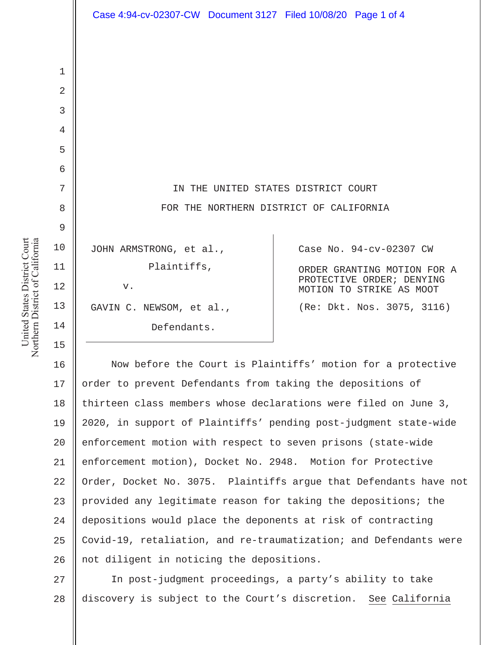|                | Case 4:94-cv-02307-CW Document 3127 Filed 10/08/20 Page 1 of 4 |                                                       |
|----------------|----------------------------------------------------------------|-------------------------------------------------------|
|                |                                                                |                                                       |
|                |                                                                |                                                       |
| $\mathbf 1$    |                                                                |                                                       |
| $\overline{2}$ |                                                                |                                                       |
| 3              |                                                                |                                                       |
| 4              |                                                                |                                                       |
| 5              |                                                                |                                                       |
| 6              |                                                                |                                                       |
| 7              | IN THE UNITED STATES DISTRICT COURT                            |                                                       |
| 8              | FOR THE NORTHERN DISTRICT OF CALIFORNIA                        |                                                       |
| 9              |                                                                |                                                       |
| 10             | JOHN ARMSTRONG, et al.,                                        | Case No. 94-cv-02307 CW                               |
| 11             | Plaintiffs,                                                    | ORDER GRANTING MOTION FOR A                           |
| 12             | v.                                                             | PROTECTIVE ORDER; DENYING<br>MOTION TO STRIKE AS MOOT |
| 13             | GAVIN C. NEWSOM, et al.,                                       | (Re: Dkt. Nos. 3075, 3116)                            |
| 14             | Defendants.                                                    |                                                       |

16 17 18 19 20 21 22 23 24 25 26 Now before the Court is Plaintiffs' motion for a protective order to prevent Defendants from taking the depositions of thirteen class members whose declarations were filed on June 3, 2020, in support of Plaintiffs' pending post-judgment state-wide enforcement motion with respect to seven prisons (state-wide enforcement motion), Docket No. 2948. Motion for Protective Order, Docket No. 3075. Plaintiffs argue that Defendants have not provided any legitimate reason for taking the depositions; the depositions would place the deponents at risk of contracting Covid-19, retaliation, and re-traumatization; and Defendants were not diligent in noticing the depositions.

27 28 In post-judgment proceedings, a party's ability to take discovery is subject to the Court's discretion. See California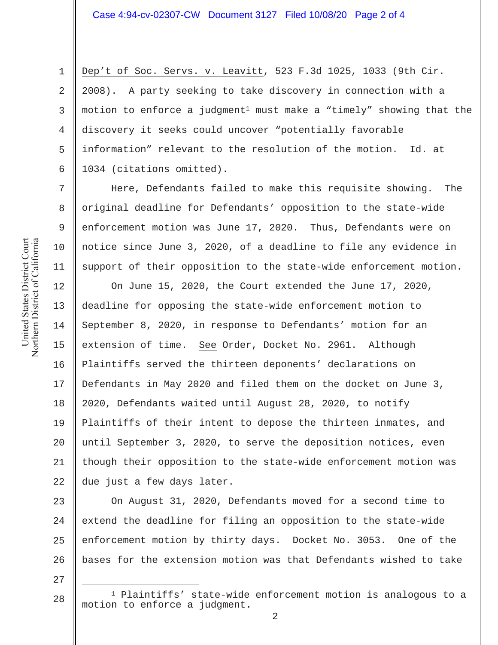Dep't of Soc. Servs. v. Leavitt, 523 F.3d 1025, 1033 (9th Cir. 2008). A party seeking to take discovery in connection with a motion to enforce a judgment<sup>1</sup> must make a "timely" showing that the discovery it seeks could uncover "potentially favorable information" relevant to the resolution of the motion. Id. at 1034 (citations omitted).

Here, Defendants failed to make this requisite showing. The original deadline for Defendants' opposition to the state-wide enforcement motion was June 17, 2020. Thus, Defendants were on notice since June 3, 2020, of a deadline to file any evidence in support of their opposition to the state-wide enforcement motion.

12 13 14 15 16 17 18 19 20 21 22 On June 15, 2020, the Court extended the June 17, 2020, deadline for opposing the state-wide enforcement motion to September 8, 2020, in response to Defendants' motion for an extension of time. See Order, Docket No. 2961. Although Plaintiffs served the thirteen deponents' declarations on Defendants in May 2020 and filed them on the docket on June 3, 2020, Defendants waited until August 28, 2020, to notify Plaintiffs of their intent to depose the thirteen inmates, and until September 3, 2020, to serve the deposition notices, even though their opposition to the state-wide enforcement motion was due just a few days later.

23 24 25 26 On August 31, 2020, Defendants moved for a second time to extend the deadline for filing an opposition to the state-wide enforcement motion by thirty days. Docket No. 3053. One of the bases for the extension motion was that Defendants wished to take

27

28

1 Plaintiffs' state-wide enforcement motion is analogous to a motion to enforce a judgment.

1

2

3

4

5

6

7

8

9

10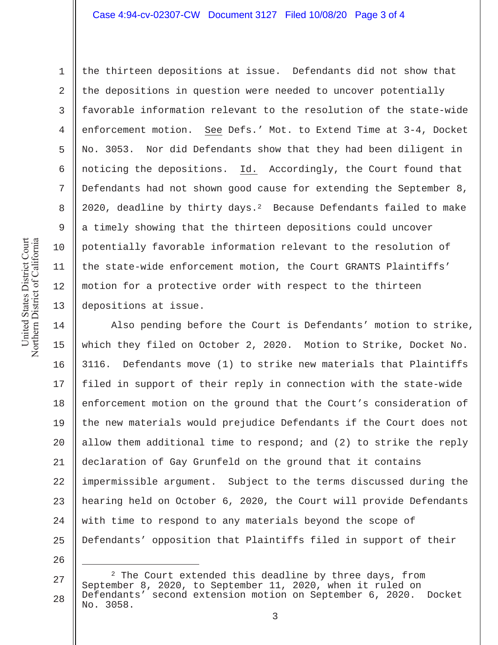## Case 4:94-cv-02307-CW Document 3127 Filed 10/08/20 Page 3 of 4

United States District Court Northern District of California United States District Court Northern District of California 1

2

3

4

5

6

7

8

9

10

11

12

13

the thirteen depositions at issue. Defendants did not show that the depositions in question were needed to uncover potentially favorable information relevant to the resolution of the state-wide enforcement motion. See Defs.' Mot. to Extend Time at 3-4, Docket No. 3053. Nor did Defendants show that they had been diligent in noticing the depositions. Id. Accordingly, the Court found that Defendants had not shown good cause for extending the September 8, 2020, deadline by thirty days. $^2$  Because Defendants failed to make a timely showing that the thirteen depositions could uncover potentially favorable information relevant to the resolution of the state-wide enforcement motion, the Court GRANTS Plaintiffs' motion for a protective order with respect to the thirteen depositions at issue.

14 15 16 17 18 19 20 21 22 23 24 25 Also pending before the Court is Defendants' motion to strike, which they filed on October 2, 2020. Motion to Strike, Docket No. 3116. Defendants move (1) to strike new materials that Plaintiffs filed in support of their reply in connection with the state-wide enforcement motion on the ground that the Court's consideration of the new materials would prejudice Defendants if the Court does not allow them additional time to respond; and (2) to strike the reply declaration of Gay Grunfeld on the ground that it contains impermissible argument. Subject to the terms discussed during the hearing held on October 6, 2020, the Court will provide Defendants with time to respond to any materials beyond the scope of Defendants' opposition that Plaintiffs filed in support of their

<sup>27</sup> 28 <sup>2</sup> The Court extended this deadline by three days, from September 8, 2020, to September 11, 2020, when it ruled on Defendants' second extension motion on September 6, 2020. Docket No. 3058.